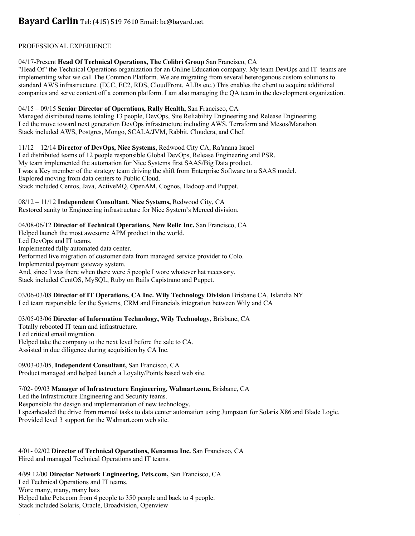# PROFESSIONAL EXPERIENCE

# 04/17-Present **Head Of Technical Operations, The Colibri Group** San Francisco, CA

"Head Of" the Technical Operations organization for an Online Education company. My team DevOps and IT teams are implementing what we call The Common Platform. We are migrating from several heterogenous custom solutions to standard AWS infrastructure. (ECC, EC2, RDS, CloudFront, ALBs etc.) This enables the client to acquire additional companies and serve content off a common platform. I am also managing the QA team in the development organization.

## 04/15 – 09/15 **Senior Director of Operations, Rally Health,** San Francisco, CA

Managed distributed teams totaling 13 people, DevOps, Site Reliability Engineering and Release Engineering. Led the move toward next generation DevOps infrastructure including AWS, Terraform and Mesos/Marathon. Stack included AWS, Postgres, Mongo, SCALA/JVM, Rabbit, Cloudera, and Chef.

11/12 – 12/14 **Director of DevOps, Nice Systems,** Redwood City CA, Ra*'*anana Israel Led distributed teams of 12 people responsible Global DevOps, Release Engineering and PSR. My team implemented the automation for Nice Systems first SAAS/Big Data product. I was a Key member of the strategy team driving the shift from Enterprise Software to a SAAS model. Explored moving from data centers to Public Cloud.

Stack included Centos, Java, ActiveMQ, OpenAM, Cognos, Hadoop and Puppet.

## 08/12 – 11/12 **Independent Consultant**, **Nice Systems,** Redwood City, CA

Restored sanity to Engineering infrastructure for Nice System's Merced division.

# 04/08-06/12 **Director of Technical Operations, New Relic Inc.** San Francisco, CA

Helped launch the most awesome APM product in the world. Led DevOps and IT teams. Implemented fully automated data center. Performed live migration of customer data from managed service provider to Colo. Implemented payment gateway system. And, since I was there when there were 5 people I wore whatever hat necessary. Stack included CentOS, MySQL, Ruby on Rails Capistrano and Puppet.

### 03/06-03/08 **Director of IT Operations, CA Inc. Wily Technology Division** Brisbane CA, Islandia NY Led team responsible for the Systems, CRM and Financials integration between Wily and CA

# 03/05-03/06 **Director of Information Technology, Wily Technology,** Brisbane, CA Totally rebooted IT team and infrastructure. Led critical email migration.

Helped take the company to the next level before the sale to CA. Assisted in due diligence during acquisition by CA Inc.

09/03-03/05, **Independent Consultant,** San Francisco, CA Product managed and helped launch a Loyalty/Points based web site.

# 7/02- 09/03 **Manager of Infrastructure Engineering, Walmart.com,** Brisbane, CA

Led the Infrastructure Engineering and Security teams.

.

Responsible the design and implementation of new technology.

I spearheaded the drive from manual tasks to data center automation using Jumpstart for Solaris X86 and Blade Logic. Provided level 3 support for the Walmart.com web site.

4/01- 02/02 **Director of Technical Operations, Kenamea Inc.** San Francisco, CA Hired and managed Technical Operations and IT teams.

4/99 12/00 **Director Network Engineering, Pets.com,** San Francisco, CA Led Technical Operations and IT teams. Wore many, many, many hats Helped take Pets.com from 4 people to 350 people and back to 4 people. Stack included Solaris, Oracle, Broadvision, Openview